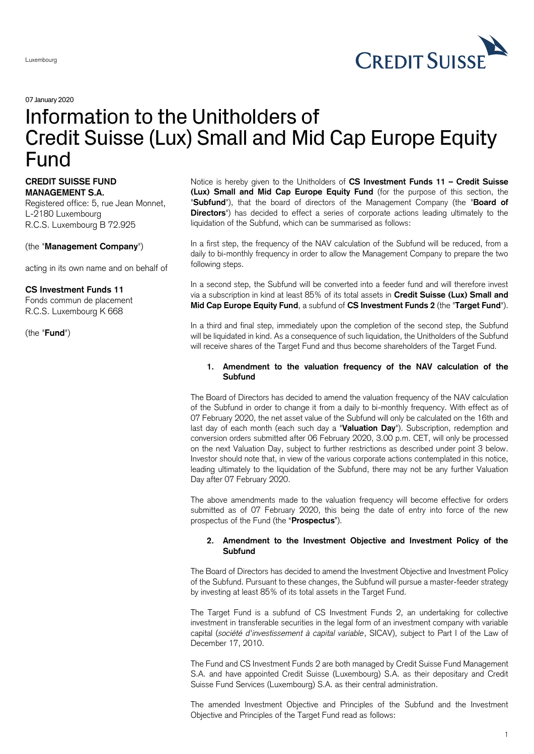

07January 2020

# Information to the Unitholders of Credit Suisse (Lux) Small and Mid Cap Europe Equity Fund

## **CREDIT SUISSE FUND MANAGEMENT S.A.**

Registered office: 5, rue Jean Monnet, L-2180 Luxembourg R.C.S. Luxembourg B 72.925

## (the "**Management Company**")

acting in its own name and on behalf of

## **CS Investment Funds 11**

Fonds commun de placement R.C.S. Luxembourg K 668

(the "**Fund**")

Notice is hereby given to the Unitholders of **CS Investment Funds 11 – Credit Suisse (Lux) Small and Mid Cap Europe Equity Fund** (for the purpose of this section, the "**Subfund**"), that the board of directors of the Management Company (the "**Board of Directors**") has decided to effect a series of corporate actions leading ultimately to the liquidation of the Subfund, which can be summarised as follows:

In a first step, the frequency of the NAV calculation of the Subfund will be reduced, from a daily to bi-monthly frequency in order to allow the Management Company to prepare the two following steps.

In a second step, the Subfund will be converted into a feeder fund and will therefore invest via a subscription in kind at least 85% of its total assets in **Credit Suisse (Lux) Small and Mid Cap Europe Equity Fund**, a subfund of **CS Investment Funds 2** (the "**Target Fund**").

In a third and final step, immediately upon the completion of the second step, the Subfund will be liquidated in kind. As a consequence of such liquidation, the Unitholders of the Subfund will receive shares of the Target Fund and thus become shareholders of the Target Fund.

## **1. Amendment to the valuation frequency of the NAV calculation of the Subfund**

The Board of Directors has decided to amend the valuation frequency of the NAV calculation of the Subfund in order to change it from a daily to bi-monthly frequency. With effect as of 07 February 2020, the net asset value of the Subfund will only be calculated on the 16th and last day of each month (each such day a "**Valuation Day**"). Subscription, redemption and conversion orders submitted after 06 February 2020, 3.00 p.m. CET, will only be processed on the next Valuation Day, subject to further restrictions as described under point 3 below. Investor should note that, in view of the various corporate actions contemplated in this notice, leading ultimately to the liquidation of the Subfund, there may not be any further Valuation Day after 07 February 2020.

The above amendments made to the valuation frequency will become effective for orders submitted as of 07 February 2020, this being the date of entry into force of the new prospectus of the Fund (the "**Prospectus**").

## **2. Amendment to the Investment Objective and Investment Policy of the Subfund**

The Board of Directors has decided to amend the Investment Objective and Investment Policy of the Subfund. Pursuant to these changes, the Subfund will pursue a master-feeder strategy by investing at least 85% of its total assets in the Target Fund.

The Target Fund is a subfund of CS Investment Funds 2, an undertaking for collective investment in transferable securities in the legal form of an investment company with variable capital (*société d'investissement à capital variable*, SICAV), subject to Part I of the Law of December 17, 2010.

The Fund and CS Investment Funds 2 are both managed by Credit Suisse Fund Management S.A. and have appointed Credit Suisse (Luxembourg) S.A. as their depositary and Credit Suisse Fund Services (Luxembourg) S.A. as their central administration.

The amended Investment Objective and Principles of the Subfund and the Investment Objective and Principles of the Target Fund read as follows: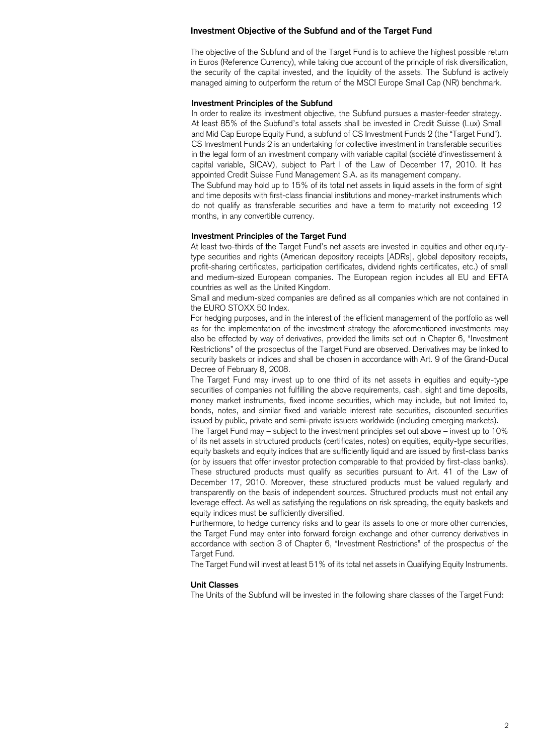### **Investment Objective of the Subfund and of the Target Fund**

The objective of the Subfund and of the Target Fund is to achieve the highest possible return in Euros (Reference Currency), while taking due account of the principle of risk diversification, the security of the capital invested, and the liquidity of the assets. The Subfund is actively managed aiming to outperform the return of the MSCI Europe Small Cap (NR) benchmark.

#### **Investment Principles of the Subfund**

In order to realize its investment objective, the Subfund pursues a master-feeder strategy. At least 85% of the Subfund's total assets shall be invested in Credit Suisse (Lux) Small and Mid Cap Europe Equity Fund, a subfund of CS Investment Funds 2 (the "Target Fund"). CS Investment Funds 2 is an undertaking for collective investment in transferable securities in the legal form of an investment company with variable capital (société d'investissement à capital variable, SICAV), subject to Part I of the Law of December 17, 2010. It has appointed Credit Suisse Fund Management S.A. as its management company.

The Subfund may hold up to 15% of its total net assets in liquid assets in the form of sight and time deposits with first-class financial institutions and money-market instruments which do not qualify as transferable securities and have a term to maturity not exceeding 12 months, in any convertible currency.

#### **Investment Principles of the Target Fund**

At least two-thirds of the Target Fund's net assets are invested in equities and other equitytype securities and rights (American depository receipts [ADRs], global depository receipts, profit-sharing certificates, participation certificates, dividend rights certificates, etc.) of small and medium-sized European companies. The European region includes all EU and EFTA countries as well as the United Kingdom.

Small and medium-sized companies are defined as all companies which are not contained in the EURO STOXX 50 Index.

For hedging purposes, and in the interest of the efficient management of the portfolio as well as for the implementation of the investment strategy the aforementioned investments may also be effected by way of derivatives, provided the limits set out in Chapter 6, "Investment Restrictions" of the prospectus of the Target Fund are observed. Derivatives may be linked to security baskets or indices and shall be chosen in accordance with Art. 9 of the Grand-Ducal Decree of February 8, 2008.

The Target Fund may invest up to one third of its net assets in equities and equity-type securities of companies not fulfilling the above requirements, cash, sight and time deposits, money market instruments, fixed income securities, which may include, but not limited to, bonds, notes, and similar fixed and variable interest rate securities, discounted securities issued by public, private and semi-private issuers worldwide (including emerging markets).

The Target Fund may – subject to the investment principles set out above – invest up to 10% of its net assets in structured products (certificates, notes) on equities, equity-type securities, equity baskets and equity indices that are sufficiently liquid and are issued by first-class banks (or by issuers that offer investor protection comparable to that provided by first-class banks). These structured products must qualify as securities pursuant to Art. 41 of the Law of December 17, 2010. Moreover, these structured products must be valued regularly and transparently on the basis of independent sources. Structured products must not entail any leverage effect. As well as satisfying the regulations on risk spreading, the equity baskets and equity indices must be sufficiently diversified.

Furthermore, to hedge currency risks and to gear its assets to one or more other currencies, the Target Fund may enter into forward foreign exchange and other currency derivatives in accordance with section 3 of Chapter 6, "Investment Restrictions" of the prospectus of the Target Fund.

The Target Fund will invest at least 51% of its total net assets in Qualifying Equity Instruments.

#### **Unit Classes**

The Units of the Subfund will be invested in the following share classes of the Target Fund: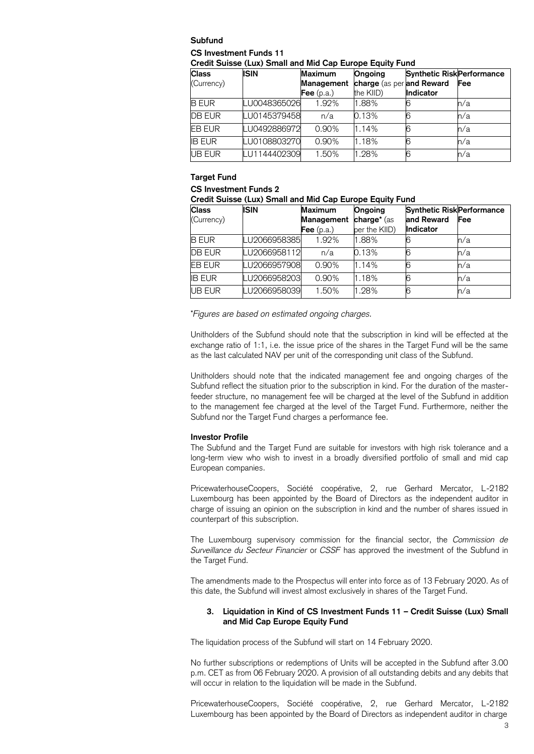## **Subfund CS Investment Funds 11**

**Credit Suisse (Lux) Small and Mid Cap Europe Equity Fund**

| <b>Class</b>  | <b>ISIN</b>  | <b>Maximum</b> | Ongoing                   | <b>Synthetic Risk Performance</b> |     |
|---------------|--------------|----------------|---------------------------|-----------------------------------|-----|
| (Currency)    |              | Management     | charge (as per and Reward |                                   | Fee |
|               |              | Fee $(p.a.)$   | the KIID)                 | Indicator                         |     |
| <b>B EUR</b>  | LU0048365026 | 1.92%          | 1.88%                     |                                   | n/a |
| <b>DB EUR</b> | LU0145379458 | n/a            | 0.13%                     | 6                                 | n/a |
| <b>EB EUR</b> | LU0492886972 | 0.90%          | 1.14%                     | 6                                 | n/a |
| <b>IB EUR</b> | LU0108803270 | 0.90%          | 1.18%                     | 6                                 | n/a |
| UB EUR        | LU1144402309 | 1.50%          | 1.28%                     | 6                                 | n/a |

# **Target Fund**

## **CS Investment Funds 2**

|  |  |  | Credit Suisse (Lux) Small and Mid Cap Europe Equity Fund |
|--|--|--|----------------------------------------------------------|
|--|--|--|----------------------------------------------------------|

| <b>Class</b>  | <b>ISIN</b>  | <b>Maximum</b> | Ongoing       | <b>Synthetic Risk Performance</b> |            |
|---------------|--------------|----------------|---------------|-----------------------------------|------------|
| (Currency)    |              | Management     | charge* (as   | and Reward                        | <b>Fee</b> |
|               |              | Fee $(p.a.)$   | per the KIID) | <b>Indicator</b>                  |            |
| <b>B EUR</b>  | LU2066958385 | 1.92%          | 1.88%         |                                   | n/a        |
| <b>DB EUR</b> | LU2066958112 | n/a            | 0.13%         |                                   | n/a        |
| <b>EB EUR</b> | LU2066957908 | 0.90%          | 1.14%         | 6                                 | n/a        |
| <b>IB EUR</b> | LU2066958203 | 0.90%          | 1.18%         |                                   | n/a        |
| <b>UB EUR</b> | LU2066958039 | 1.50%          | 1.28%         |                                   | n/a        |

\**Figures are based on estimated ongoing charges.*

Unitholders of the Subfund should note that the subscription in kind will be effected at the exchange ratio of 1:1, i.e. the issue price of the shares in the Target Fund will be the same as the last calculated NAV per unit of the corresponding unit class of the Subfund.

Unitholders should note that the indicated management fee and ongoing charges of the Subfund reflect the situation prior to the subscription in kind. For the duration of the masterfeeder structure, no management fee will be charged at the level of the Subfund in addition to the management fee charged at the level of the Target Fund. Furthermore, neither the Subfund nor the Target Fund charges a performance fee.

## **Investor Profile**

The Subfund and the Target Fund are suitable for investors with high risk tolerance and a long-term view who wish to invest in a broadly diversified portfolio of small and mid cap European companies.

PricewaterhouseCoopers, Société coopérative, 2, rue Gerhard Mercator, L-2182 Luxembourg has been appointed by the Board of Directors as the independent auditor in charge of issuing an opinion on the subscription in kind and the number of shares issued in counterpart of this subscription.

The Luxembourg supervisory commission for the financial sector, the *Commission de Surveillance du Secteur Financier* or *CSSF* has approved the investment of the Subfund in the Target Fund.

The amendments made to the Prospectus will enter into force as of 13 February 2020. As of this date, the Subfund will invest almost exclusively in shares of the Target Fund.

## **3. Liquidation in Kind of CS Investment Funds 11 – Credit Suisse (Lux) Small and Mid Cap Europe Equity Fund**

The liquidation process of the Subfund will start on 14 February 2020.

No further subscriptions or redemptions of Units will be accepted in the Subfund after 3.00 p.m. CET as from 06 February 2020. A provision of all outstanding debits and any debits that will occur in relation to the liquidation will be made in the Subfund.

PricewaterhouseCoopers, Société coopérative, 2, rue Gerhard Mercator, L-2182 Luxembourg has been appointed by the Board of Directors as independent auditor in charge